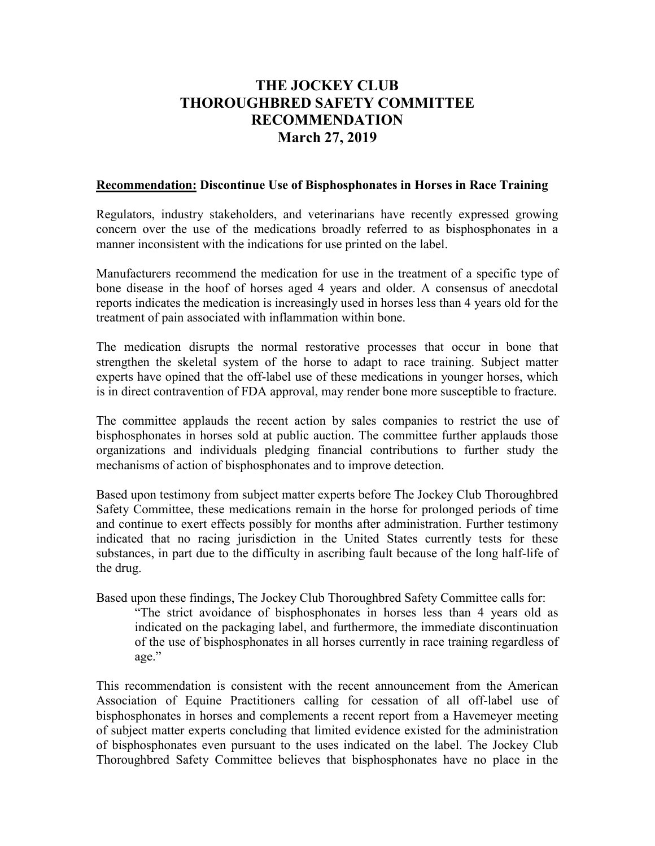## **THE JOCKEY CLUB THOROUGHBRED SAFETY COMMITTEE RECOMMENDATION March 27, 2019**

## **Recommendation: Discontinue Use of Bisphosphonates in Horses in Race Training**

Regulators, industry stakeholders, and veterinarians have recently expressed growing concern over the use of the medications broadly referred to as bisphosphonates in a manner inconsistent with the indications for use printed on the label.

Manufacturers recommend the medication for use in the treatment of a specific type of bone disease in the hoof of horses aged 4 years and older. A consensus of anecdotal reports indicates the medication is increasingly used in horses less than 4 years old for the treatment of pain associated with inflammation within bone.

The medication disrupts the normal restorative processes that occur in bone that strengthen the skeletal system of the horse to adapt to race training. Subject matter experts have opined that the off-label use of these medications in younger horses, which is in direct contravention of FDA approval, may render bone more susceptible to fracture.

The committee applauds the recent action by sales companies to restrict the use of bisphosphonates in horses sold at public auction. The committee further applauds those organizations and individuals pledging financial contributions to further study the mechanisms of action of bisphosphonates and to improve detection.

Based upon testimony from subject matter experts before The Jockey Club Thoroughbred Safety Committee, these medications remain in the horse for prolonged periods of time and continue to exert effects possibly for months after administration. Further testimony indicated that no racing jurisdiction in the United States currently tests for these substances, in part due to the difficulty in ascribing fault because of the long half-life of the drug.

Based upon these findings, The Jockey Club Thoroughbred Safety Committee calls for: "The strict avoidance of bisphosphonates in horses less than 4 years old as indicated on the packaging label, and furthermore, the immediate discontinuation of the use of bisphosphonates in all horses currently in race training regardless of age."

This recommendation is consistent with the recent announcement from the American Association of Equine Practitioners calling for cessation of all off-label use of bisphosphonates in horses and complements a recent report from a Havemeyer meeting of subject matter experts concluding that limited evidence existed for the administration of bisphosphonates even pursuant to the uses indicated on the label. The Jockey Club Thoroughbred Safety Committee believes that bisphosphonates have no place in the